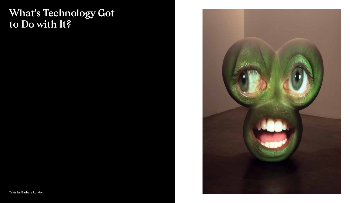# **What's Technology Got to Do with It?**

Texts by Barbara London

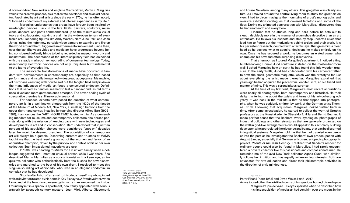A born-and-bred New Yorker and longtime Miami citizen, Martin Z. Margulies values the creative process, as a real estate developer and as an art collec tor. Fascinated by art and artists since the early 1970s, he has often noted, "I formed a collection of my external and internal experiences in my life."

Margulies understands that artists have forever been inspired by newfangled devices. Back in the late 1960s, painters, sculptors, musi cians, dancers, and poets commandeered up-to-the-minute audio-visual tools and collaborated, staking a claim in the wide-open terrain of elec tronic art. Pioneering figures like Andy Warhol, Nam June Paik, and Joan Jonas, using the hefty new portable video camera to examine and fire up the world around them, triggered an experimental movement. Since then, over the last fifty years video and media art have progressed beyond be ing considered defiantly fringe to being regarded as museum-worthy and mainstream. The acceptance of the interdisciplinary field has coincided with the steady market-driven upgrading of consumer technology. Today, user-friendly electronic devices are not only ubiquitous but fundamental to the fabric of everyday life.

The inexorable transformations of media have occurred in tan dem with developments in contemporary art, especially as time-based performance and installation gained widespread acceptance. Meanwhile, art historians wrestling with how to sort out the tangled field and pin down the many influences of media art faced a convoluted endeavor. Defini tions that served as handles seemed to last a nanosecond, as old terms nose-dived and more germane ones emerged. The never-ending cycle of speculative theories is still inexorably seasonal.

For decades, experts have posed the question of what contem porary art is. In a well-known photograph from the 1930s of the facade of the Museum of Modern Art, New York, a small sign beckons from the upper right-hand corner. Installed by founding director Alfred Barr (1902– 1981), it announces the "ART IN OUR TIME" hosted within. As a demand ing mandate for museums and contemporary collectors, the phrase per sists along with the mission of keeping pace with new technologies and developments in art and in conservation. Barr understood that if just ten percent of his acquisition choices were considered "spot on" decades later, he would be deemed prescient. The acquisition of contemporary art will always be a gamble. Discerning curators and trustees at MoMA taught me that the best results grow out of the acumen and fervor of an acquisitive champion, driven by the purview and context of his or her own collection. Such impassioned mavericks are rare.

In 1998 I was heading to Miami for a visit with family when a col league suggested that I meet an unusual person while I was there. She described Martin Margulies as a nonconformist with a keen eye, an in quisitive collector who enthusiastically beat the bushes for new discov eries and marched to the beat of his own drum. I resolved to meet this singular-sounding art aficionado, who lived in an elegant condominium complex that he had developed.

Shortly after I shot off an email to introduce myself, my inbox pinged with an invitation to stop by his home in Key Biscayne. A few days later, when I knocked at the front door, an energetic, witty man welcomed me inside. I found myself in a spacious apartment, beautifully appointed with serious artwork by twentieth-century masters—Joan Miró, Alberto Giacometti,

394. (Previous page)

**Tony Oursler,** *Coo,* 2003, fiberglass sculpture, Sony VPL CS5 projector, DVD, DVD player, video (color, sound),  $43 \times 35 \times$ 20 in., 8:41 min.

and Louise Nevelson, among many others. This go-getter was clearly as tute. As I moved around the central living room to study the great art on view, I had to circumnavigate the mountains of artist's monographs and oversize exhibition catalogues that covered tabletops and some of the floor. During my animated conversation with Margulies, I discovered that he had read each and every book.

I learned that he studies long and hard before he sets out to sleuth, decidedly more in the manner of a gumshoe detective than an art enthusiast. He follows his instincts and step by step unearths clues that lead him to figure out the motivations behind artists and their work. It is his persistent research, coupled with a terrific eye, that gives him a clear head as he decides what to acquire, decisions he makes entirely on his own. Once he has secured a work, he becomes an elated owner who champions his new and often surprising discoveries.

That afternoon as I toured Margulies's apartment, I noticed a tiny, humble-looking Donald Judd sculpture installed on the master-bedroom wall. I asked Margulies how on earth he had found this little wooden trea sure. In the early 1960s, Judd had collaborated with his carpenter father to craft the small, geometric maquette, which was the prototype for just about everything the artist made thereafter. Margulies explained that years ago he had acquired the piece from Jennifer Licht, an old friend and mentor of mine. This was a serendipitous surprise.

At the time of my first visit, Margulies's most recent acquisitions were nearly all photographs, both contemporary and historical. He took delight in telling me about the twists and turns of his art-collecting od yssey. It was back in the mid-1980s that he first dipped into photogra phy, when he was suddenly smitten by work of the German artist Thom as Struth. Following that acquisition, Margulies looked further back in time. After some investigation, he started to collect the work of Struth's professors at the Kunstakademie Düsseldorf, Hilla and Bernd Becher. It made perfect sense that the Bechers' work—typological photographs of industrial buildings and other structures that are generally organized on the wall in grid-like arrangements—would appeal to this scholarly building developer, who appreciated the elegance and beauty that can be discerned in logistical systems. Margulies told me that he had traveled even deep er into the past as he investigated the Bechers' own preoccupation with August Sander, especially that German artist's encyclopedic photographic project, *People of the 20th Century.* I realized that Sander's respect for ordinary people could also be found in Margulies. I had rarely encoun tered a private collector like this passionate and compassionate man. He reminded me of the avid New York collector Agnes Gund, who similar ly follows her intuition and has equally wide-ranging interests. Both are advocates for arts education and direct their philanthropic activities in the direction of civic mindedness.

### Fig. 396-397

Peter Fischli (born 1953) and David Weiss (1946–2012)

As we toured other the art-filled rooms of his spacious home, I picked up on Margulies's joie de vivre. His eyes sparkled when he described how his first acquisition of media art had sent him over the moon. In the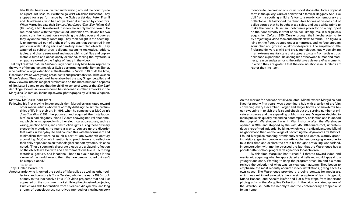late 1980s, he was in Switzerland traveling around the countryside on a post–Art Basel tour with the gallerist Ghislaine Hussenot. They stopped for a performance by the Swiss artist duo Peter Fischli and David Weiss, who had not yet been discovered by collectors. When Margulies saw their *Der Lauf der Dinge (The Way Things Go)*  (1985–87), a film transferred to video, he simply had to own it. He returned home with the tape tucked under his arm. He and his two young sons then spent hours watching the video over and over as they lay on the family-room rug. They took delight in the seeming ly uninterrupted pan of a chain of reactions that transpired in no particular order along a line of carefully assembled objects. They watched as rubber tires, balloons, steaming teakettles, ladders, tables, and chairs seesawed and made whimsical flips and unpre dictable turns and occasionally exploded, feeling the mysterious empathy evoked by the flights of fancy in the video.

That day I realized that *Der Lauf der Dinge* could easily have been inspired by the work of the enchanting, older Swiss performance artist Roman Signer, who had had a large exhibition at the Kunsthaus Zürich in 1981. At the time, Fischli and Weiss were young art students and presumably would have seen Singer's show. They could well have absorbed the way Singer beguiled and drew viewers into his magical ruminations on the more mundane aspects of life. Later I came to see that the childlike sense of wonder that *Der Lauf der Dinge* evokes in viewers could be discerned in other artworks in the Margulies Collection, including several photographs by William Wegman.

## Fig. 400

## Matthew McCaslin (born 1957)

Following his first moving-image acquisition, Margulies gravitated toward other media artists who were adroitly distilling the simple profun dities of life into their art. In 1998, when he came across McCaslin's *Junction Blvd* (1998), he pounced and acquired the installation. McCaslin had elegantly joined TV sets showing natural phenome na, which he juxtaposed with other electrical apparatuses, such as wiring, junction boxes, and construction lights. Using these ordinary electronic materials, he found a way to conjure up the disorder that exists in everyday life and coupled this with the formalism and minimalism that were so much a part of late-twentieth-century art-making. McCaslin's intention is to prod viewers to reflect on their daily dependence on technological support systems. He once noted, "These seemingly disparate pieces are a playful reflection on the objects we live with and environments we live in. By mixing materials, gesture, and locations, I hope to evoke feelings in the viewer of the world around them that are deeply rooted but can't be simply placed."

## Fig s. 394-395

## Tony Oursler (born 1957)

Another artist who knocked the socks off Margulies as well as other col lectors and curators is Tony Oursler, who in the early 1990s took a fancy to the inexpensive little LCD video projector that had just appeared on the consumer market. Using the pint-sized projector, Oursler was able to transition from his earlier idiosyncratic and long stream-of-consciousness narratives intended for viewing on boxy

monitors to the creation of succinct short stories that took a physical form in the gallery. Oursler converted a familiar Raggedy Ann–like doll from a soothing children's toy to a rowdy, contemporary art collectable. He fashioned the diminutive bodies of his dolls out of calico scraps that he bought at tag sales, and used white fabric to make the heads. He set an unobtrusive projector on a tiny tripod on the floor directly in front of his doll-like figures. In Margulies's acquisition, *Colors* (1995), Oursler brought the little character to life by projecting a video face onto the blank white fabric. The figure is lying on the floor, trapped under a mattress, and its face appears scrunched and grotesque, almost desperate. The empathetic little firebrand delivers a wild and crazy monologue, loudly declaiming in an extreme mental state that appears to stem from a disastrous childhood experience. Balancing his art between humor and mad ness, reason and psychosis, the artist gives viewers *Aha!* moments in which they are grateful that the dire situation is in Oursler's art rather than life itself.

As the market for postwar art skyrocketed, Miami, where Margulies had lived for nearly fifty years, was becoming a hub with a surfeit of art fairs convening every December. Larger and larger hordes of snowbirds be gan sweeping in to visit the fairs and check out the surging number of pri vate art spaces and the expanding public museums. Margulies decided to make public his quickly expanding contemporary collection and launched the nonprofit Warehouse. I was in Miami shortly after the Warehouse opened in 1999 and stopped by the vast, 45,000-square-foot, unpreten tiously retrofitted industrial building, which was in a disadvantaged Miami neighborhood then on the verge of becoming the Wynwood Arts District. I found Margulies standing prominently front and center, warmly greet ing visitors, guiding people on walk-throughs, encouraging everyone to take their time and explore the art in his thought-provoking wonderland. In conversation with me, he stressed the fact that the Warehouse had a popular after-school program designed for local children.

By this time Margulies had turned full throttle toward video and media art, acquiring what he appreciated and believed would appeal to a younger audience. Wanting to keep the program fresh, he and his team revised the selection of what was on view each autumn. They began to emphasize the most recently acquired video installations, giving each its own space. The Warehouse provided a bracing context for media art, which was exhibited alongside the classic sculpture of Isamu Noguchi, Duane Hanson, and Anselm Kiefer and just a few steps from important photographs in the Margulies Collection. In the laid-back atmosphere of the Warehouse, both the neophyte and the contemporary art specialist felt at home.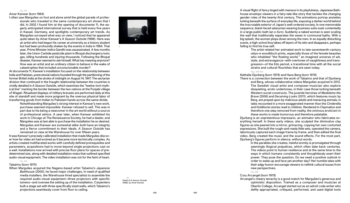#### Fig. 415

## Amar Kanwar (born 1964)

I often saw Margulies on foot and alone amid the global parade of profes sionals who traveled to the same contemporary art shows that I did. In 2002 I found him at the opening of documenta 11, the ea gerly anticipated international survey that is held every five years in Kassel, Germany, and spotlights contemporary art trends. As Margulies surveyed what was on view, I noticed that he appeared quite taken by Amar Kanwar's *A Season Outside* (1998). Here was an artist who had begun his career at university as a history student but had been profoundly shaken by the events in India in 1984. That year, Prime Minister Indira Gandhi was assassinated. A few months later, the Union Carbide pesticide plant in Bhopal discharged a toxic gas, killing hundreds and injuring thousands. Following the Bhopal disaster, Kanwar seemed to ask himself, What has meaning anymore? How was an artist and an ordinary citizen to behave in the wake of catastrophes that included unconscionable murder?

At documenta 11, Kanwar's installation focused on the relationship between India and Pakistan, postcolonial nations founded through the partitioning of the former British India at the stroke of midnight on August 14, 1947. The sectarian division that continued in the fraught relationship between the countries is vividly detailed in *A Season Outside*, which examines the "twelve-inch myth ical line" marking the border between the two nations at the Punjabi village of Wagah. Ritualized displays of military bravado are performed daily at this site of standoff and made more poignant by the onerous physical labor of transferring goods from Indian to Pakistani hands across the same divide.

> Notwithstanding Margulies's strong interest in Kanwar's new work, purchase seemed impossible. Kanwar refused to sell. This was in part due to his being a newcomer in the art world without a source of professional advice. A year later, when Kanwar exhibited his work in Chicago at The Renaissance Society, he had a dealer, and Margulies was at last able to purchase the installation he so desired. Margulies and Kanwar are somewhat alike: both have an integrity and a fierce commitment to their ideals. *A Season Outside* has remained on view at the Warehouse for over fifteen years.

It was Kanwar's precisely calibrated installation that made Margulies discov er how far video art had evolved as it became more technically complex. As artists created multifaceted works with carefully defined prerequisites and parameters, acquisitions had to move beyond single-projections cast on a wall. Installations now arrived with precise floor plans for spaces of pre determined size, along with detailed installation notes that outlined specified audio-visual equipment. The video installation was not for the faint of heart.

# Fig. 430

# Tabaimo (born 1975)

When Margulies acquired the Nagano-based artist Tabaimo's *Japanese Bathhouse* (2000), he faced major challenges. In need of qualified media installers, the Warehouse hired specialists to assemble the required audio-visual equipment—three projectors with specific lumens—and oversee the setting up of the installation. Carpenters built a stage set with three specifically sized walls, which Tabaimo's projections seamlessly cover from floor to ceiling.



A visual flight of fancy tinged with menace in its playfulness, Japanese Bath house envelops viewers in a fairy-tale-like story that tackles the changing gender roles of the twenty-first century. The animations portray anxieties lurking beneath the surface of everyday life, exposing a darker world behind the inscrutable exterior of Japan's well-ordered society. In one memorable sequence, blank-faced salarymen wearing business suits soak contentedly in a large public bath (an *o-furo*). Suddenly a naked woman is seen scaling the wall that traditionally separates the sexes in communal baths. With a big splash, the woman plops down among the men. In an equally disturbing scene, a high-school boy takes off layers of his skin and disappears, perhaps failing to find his true self.

The artist related her animated work to late-seventeenth-century *ukiyo-e* woodblock prints, especially those of the female beauties who inhabited "the floating world," an imagined universe of wit, style, and extravagance—with overtones of naughtiness and transgression—of the Edo period, a transitional time with all the social strains and cultural flourishes that are seen toda y .

Fig s. 409-410

Nathalie Djurberg (born 1978) and Hans Berg (born 1978)

There is a connection between the work of Tabaimo and that of Djurberg and Berg, whose collaborative videos Margulies acquired in 2013. The Swedish visual artist and composer-musician also explore disquieting, erotic undertones, in their case those lurking beneath Western social constructs. The juvenile heroines of *Madeleine the Brave* (2006) and *Deceiving Looks* (2011), which features music by Berg, are preyed upon by malicious adults and menacing animals, in tales recounted in a more exaggerated manner than the Cinderella and Goldilocks stories read to children. Rendered in Claymation and therefore one step removed from reality, the ominous eroticism in these works is made humorous and therefore palatable.

Djurberg is an unpretentious impresario, an animator who fabricates ev erything herself. In these early videos, she sculpted the diminutive clay figures as she peered into a mirror, grimacing, copying her own contorted expressions. She built the rough-and-ready little sets, operated the camera, laboriously captured each image frame by frame, and then edited the final video. Berg created the music and the sound effects. For the most part, Djurberg's figures perform in silence, without words.

In the parables she creates, hateful enmity is promulgated through seemingly illogical prejudices, which often date back centuries. The videos point to human resilience and at the same time to the ways in which humans consistently and thoughtlessly exert their powe r. They pose the question, Do we need a positive outlook in order to wake up and face yet another day? Her humble tales with their edgy humor encourage viewers to rethink cultural issues from new perspectives.

Fig. 399

# Cory Arcangel (born 1978)

Arcangel's cheery tenacity is a good match for Margulies's generous and optimistic disposition. Trained as a composer and musician at Oberlin College, Arcangel started out as an adroit code writer who deftly appropriated, critiqued, performed, and used digital tools

A

 (A) Detail of *A Season Outside*  (1998), by Amar Kanwar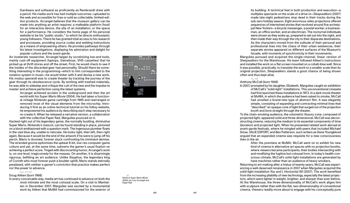(hardware and software) as proficiently as Rembrandt drew with a pencil. His media work has had multiple outcomes—uploaded to the web and accessible for free or sold as collectable, limited-edi tion products. Arcangel believes that the museum gallery can be made into anything an artist requires: a malleable platform (host) for an interactive device, the site of an installation, or the space for a performance. He considers the home page of his personal website to be his "public studio," to which he directs enthusiastic young followers. There he has granted total access to his research and processes, providing source codes and welding instructions as a means of empowering others. He provides pathways through his latest investigations, displaying his admiration and delight for popular culture and the avant-garde.

An inveterate researcher, Arcangel began by scrutinizing low-end tools, mainly cast-off equipment (laptops, Gameboys, VHS cassettes) that he picked up at thrift stores and off the street. First, he would check to see if the insides of the discarded gear had personality. Should there be some thing interesting in the programming—which to him corresponded to the notation system in music—he would tinker with it and devise a new work. His modus operandi was to create theater by tracking the journey of the gear through its obsolescence cycle. By working with trashed materials, he was able to sidestep and critique the cult of the new and the impulse to master and achieve perfection using the latest systems.

Arcangel achieved acclaim in the underground and then the art world with his *Super Mario Movie* (2004). He had taken a function al vintage Nintendo game cartridge from 1985 and rearranged or removed most of the visual elements from the microchip. Intro ducing it first as an online technical tutorial on his folksy website, he empowered his audience by describing each step necessary to re-create it. When he released a narrative version, a collaboration with the collective Paper Rad, Margulies pounced on it.

Hacked right out of his legendary game, the normally bustling, diminutive Super Mario, Nintendo's mascot, can be found standing in place, pinioned on a block emblazoned with a question mark. The ingenuous plumber floats in the vast blue sky, unable to relocate. He looks right, then left, then right again. Because it would be the end of the artwork if he were to jump off his perch, Mario is doomed, forever stuck confronting his imminent demise. The stranded gnome epitomizes the upbeat 8-bit, low-res computer-game culture and yet, at the same time, subverts the gamer's usual fixation on achieving a perfect score. Tinged with disconcerting humor, Arcangel's work is, on one level, tragicomedy for the masses. On another, it is disarmingly rigorous, befitting an art audience. Unlike Sisyphus, the legendary king of Corinth who must forever push a boulder uphill, Mario stands eternally perplexed, with neither a gamer's conviction that practice makes perfect nor the power to advance.

Fig s. 401-403

## Doug Aitken (born 1968)

In every conceivable way, media art has continued to advance on both the most intimate and the most colossal scale. On a visit to Manhat tan in December 2007, Margulies was excited by a monumental work by Aitken that MoMA had commissioned for the exterior of



 $(B)$ Detail of *Super Mario Movie*  (2004), by Cory Arcangel and Paper Rad

its building. A technical feat in both production and execution—a multiplex spectacle on the scale of a drive-in—*Sleepwalkers* (2007) made late-night pedestrians stop dead in their tracks during the sub-zero holiday season. Eight enormous video projections offered sequences of intertwined stories that revolved around five archetypal New Yorkers—a bicycle messenger, a postal worker, a businessman, an office worker, and an electrician. The nocturnal individuals were shown as they woke up, prepared to set out into the night, and then made their way through the city to their disparate destinations. As the characters moved from the solitude of their personal and professional lives into the chaos of their urban existences, their separate stories appeared on different surfaces of the Museum's facade, with moments of synchronicity in their movements.

Margulies pursued and acquired the single-channel, linear version of *Sleepwalkers* for the Warehouse. His team followed Aitken's instructions and installed the work on a flat screen mounted on a cobalt-blue wall. Since it was possible, practically, to translate the work to a smaller scale than its original projection, *Sleepwalkers* stands a good chance of being shown often and thus kept alive.

Fig. 398

Anthony McCall (born 1946)

In 2007, prompted by his daughter, Elizabeth, Margulies caught an exhibition of McCall's "solid-light" installations. This unconventional cineaste had first launched these installations in 1973. In a dark movie theater at MoMA, in which the audience had been asked to smoke, McCall had unveiled a brand-new type of abstract film. It was elegantly simple, consisting of expanding and contracting minimal lines that "described" an opaque cone of light that surged out of the projection booth and bore straight through the theater.

To the chain-smoking audience, the volumetric illusory cone, composed of projected light, appeared solid and three-dimensional. McCall was decon structing cinema, reducing the medium to its essential components of time (duration) and projected light. When he presented related work abroad at avant-garde festivals, where he mingled with peers that included Michael Snow, VALIE EXPORT, and Ben Patterson, such writers as Gene Youngblood argued that an expanded cinema was requisite for a new consciousness then in the air.

> After the premiere at MoMA, McCall went on to exhibit his new kind of cinema in alternative art spaces with no projection booths, where viewers became participants, their bodies intersecting with and modifying the fugitive but colossal form. In today's health-con scious climate, McCall's solid-light installations are generated by haze machines rather than an audience of heavy smokers.

Returning to art-making after a hiatus of twenty years, McCall was experi encing a well-deserved renaissance in 2007 when Margulies acquired the solid-light installation *You and I, Horizontal (III)* (2007). The work benefited from the increasing pliability of new technology, especially the latest projec tors, which were lighter in weight, brighter, and sharper than ever before. At the Warehouse, the three-dimensionality of McCall's work aligns him with sculpture rather than with the flat, two-dimensionality of conventional cinema. Viewers readily move about to engage with his conceptually pure

B